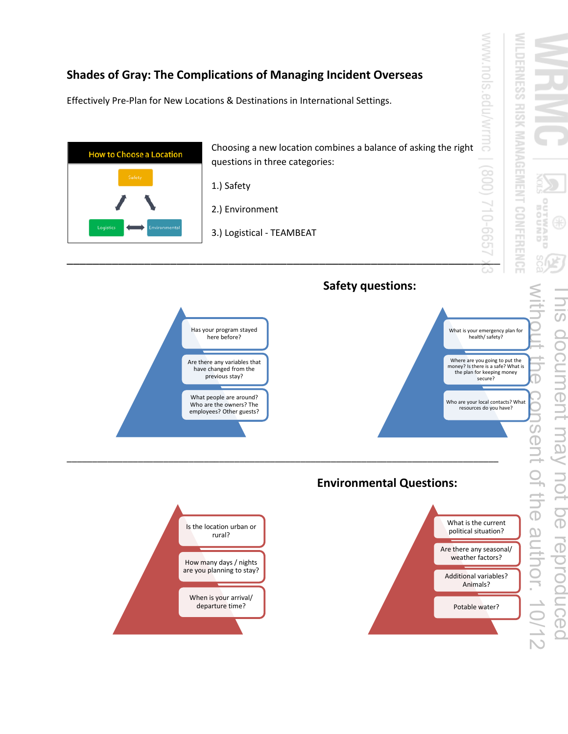## **Shades of Gray: The Complications of Managing Incident Overseas**

Effectively Pre-Plan for New Locations & Destinations in International Settings.



wĕ ö **CHARD** This document may not be reproduced  $\overline{\mathbf{\omega}}$ document may **NOT** peonpoudeu<br>
a

WWW.nols

**MILDERNESS** 

**HISIK**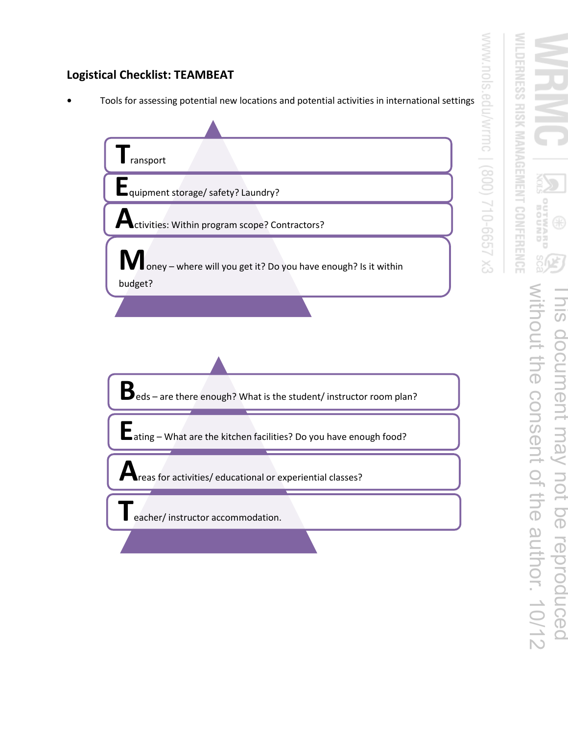## **Logistical Checklist: TEAMBEAT**

**•** Tools for assessing potential new locations and potential activities in international settings



WWW.nols.

edu/wrmc

EX 299-012 (008)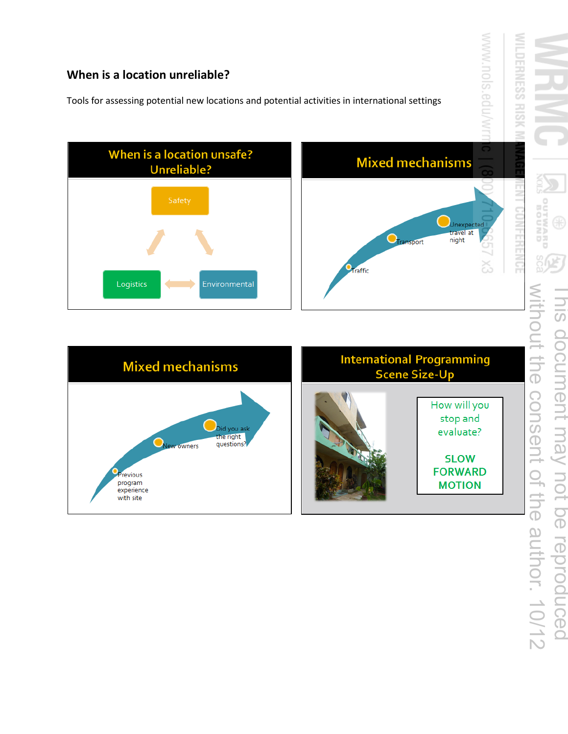### **When is a location unreliable?**

with site

Tools for assessing potential new locations and potential activities in international settings



**GNNOS** without the consent of the author. 10/12 This document may not be reproduced als document may not be reproduced **JUOLI** the consent of the author. 10/12

WWW.nols.edu/w

*MILDERNESS RISK*